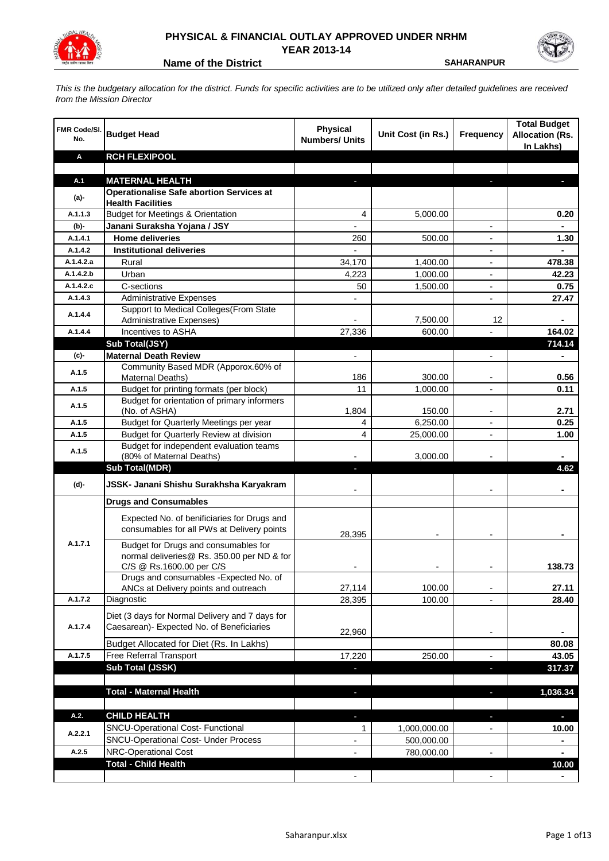

## **PHYSICAL & FINANCIAL OUTLAY APPROVED UNDER NRHM YEAR 2013-14**

**Name of the District SAHARANPUR** 

*This is the budgetary allocation for the district. Funds for specific activities are to be utilized only after detailed guidelines are received from the Mission Director*

| FMR Code/SI.<br>No. | <b>Budget Head</b>                                                       | <b>Physical</b><br><b>Numbers/ Units</b> | Unit Cost (in Rs.) | <b>Frequency</b>         | <b>Total Budget</b><br><b>Allocation (Rs.</b><br>In Lakhs) |
|---------------------|--------------------------------------------------------------------------|------------------------------------------|--------------------|--------------------------|------------------------------------------------------------|
| Α                   | <b>RCH FLEXIPOOL</b>                                                     |                                          |                    |                          |                                                            |
|                     |                                                                          |                                          |                    |                          |                                                            |
| A.1                 | <b>MATERNAL HEALTH</b>                                                   |                                          |                    |                          |                                                            |
| $(a)$ -             | <b>Operationalise Safe abortion Services at</b>                          |                                          |                    |                          |                                                            |
| A.1.1.3             | <b>Health Facilities</b><br><b>Budget for Meetings &amp; Orientation</b> |                                          |                    |                          |                                                            |
|                     |                                                                          | 4                                        | 5,000.00           |                          | 0.20                                                       |
| (b)-<br>A.1.4.1     | Janani Suraksha Yojana / JSY<br><b>Home deliveries</b>                   | 260                                      | 500.00             |                          |                                                            |
| A.1.4.2             | <b>Institutional deliveries</b>                                          |                                          |                    |                          | 1.30                                                       |
| A.1.4.2.a           | Rural                                                                    | 34,170                                   | 1,400.00           |                          | 478.38                                                     |
| A.1.4.2.b           | Urban                                                                    | 4,223                                    | 1,000.00           |                          | 42.23                                                      |
| A.1.4.2.c           | C-sections                                                               | 50                                       |                    |                          | 0.75                                                       |
| A.1.4.3             | <b>Administrative Expenses</b>                                           |                                          | 1,500.00           | $\overline{a}$           | 27.47                                                      |
|                     | Support to Medical Colleges (From State                                  |                                          |                    |                          |                                                            |
| A.1.4.4             | Administrative Expenses)                                                 |                                          | 7,500.00           | 12                       |                                                            |
| A.1.4.4             | Incentives to ASHA                                                       | 27,336                                   | 600.00             |                          | 164.02                                                     |
|                     | Sub Total(JSY)                                                           |                                          |                    |                          | 714.14                                                     |
| (c)-                | <b>Maternal Death Review</b>                                             | $\overline{\phantom{a}}$                 |                    | $\overline{\phantom{a}}$ | $\blacksquare$                                             |
|                     | Community Based MDR (Apporox.60% of                                      |                                          |                    |                          |                                                            |
| A.1.5               | Maternal Deaths)                                                         | 186                                      | 300.00             | $\blacksquare$           | 0.56                                                       |
| A.1.5               | Budget for printing formats (per block)                                  | 11                                       | 1,000.00           |                          | 0.11                                                       |
| A.1.5               | Budget for orientation of primary informers                              |                                          |                    |                          |                                                            |
|                     | (No. of ASHA)                                                            | 1,804                                    | 150.00             | $\overline{\phantom{a}}$ | 2.71                                                       |
| A.1.5               | Budget for Quarterly Meetings per year                                   | 4                                        | 6,250.00           |                          | 0.25                                                       |
| A.1.5               | Budget for Quarterly Review at division                                  | 4                                        | 25,000.00          |                          | 1.00                                                       |
| A.1.5               | Budget for independent evaluation teams<br>(80% of Maternal Deaths)      |                                          | 3,000.00           |                          |                                                            |
|                     | <b>Sub Total(MDR)</b>                                                    | L.                                       |                    |                          | 4.62                                                       |
|                     |                                                                          |                                          |                    |                          |                                                            |
| (d)-                | JSSK- Janani Shishu Surakhsha Karyakram                                  |                                          |                    |                          |                                                            |
|                     | <b>Drugs and Consumables</b>                                             |                                          |                    |                          |                                                            |
|                     | Expected No. of benificiaries for Drugs and                              |                                          |                    |                          |                                                            |
|                     | consumables for all PWs at Delivery points                               | 28,395                                   |                    |                          |                                                            |
| A.1.7.1             | Budget for Drugs and consumables for                                     |                                          |                    |                          |                                                            |
|                     | normal deliveries@ Rs. 350.00 per ND & for                               |                                          |                    |                          |                                                            |
|                     | C/S @ Rs.1600.00 per C/S                                                 |                                          |                    |                          | 138.73                                                     |
|                     | Drugs and consumables - Expected No. of                                  |                                          |                    |                          |                                                            |
|                     | ANCs at Delivery points and outreach                                     | 27,114                                   | 100.00             |                          | 27.11                                                      |
| A.1.7.2             | Diagnostic                                                               | 28,395                                   | 100.00             |                          | 28.40                                                      |
|                     | Diet (3 days for Normal Delivery and 7 days for                          |                                          |                    |                          |                                                            |
| A.1.7.4             | Caesarean)- Expected No. of Beneficiaries                                |                                          |                    |                          |                                                            |
|                     | Budget Allocated for Diet (Rs. In Lakhs)                                 | 22,960                                   |                    | $\overline{\phantom{a}}$ |                                                            |
| A.1.7.5             |                                                                          |                                          |                    |                          | 80.08                                                      |
|                     | Free Referral Transport<br>Sub Total (JSSK)                              | 17,220                                   | 250.00             | $\overline{a}$           | 43.05                                                      |
|                     |                                                                          |                                          |                    | ×,                       | 317.37                                                     |
|                     | <b>Total - Maternal Health</b>                                           |                                          |                    |                          | 1,036.34                                                   |
|                     |                                                                          | J,                                       |                    | ٠                        |                                                            |
| A.2.                | <b>CHILD HEALTH</b>                                                      |                                          |                    | J,                       | ٠                                                          |
|                     | SNCU-Operational Cost- Functional                                        | 1                                        | 1,000,000.00       |                          | 10.00                                                      |
| A.2.2.1             | <b>SNCU-Operational Cost- Under Process</b>                              |                                          | 500,000.00         |                          |                                                            |
| A.2.5               | NRC-Operational Cost                                                     |                                          | 780,000.00         |                          |                                                            |
|                     | <b>Total - Child Health</b>                                              |                                          |                    |                          | 10.00                                                      |
|                     |                                                                          |                                          |                    |                          |                                                            |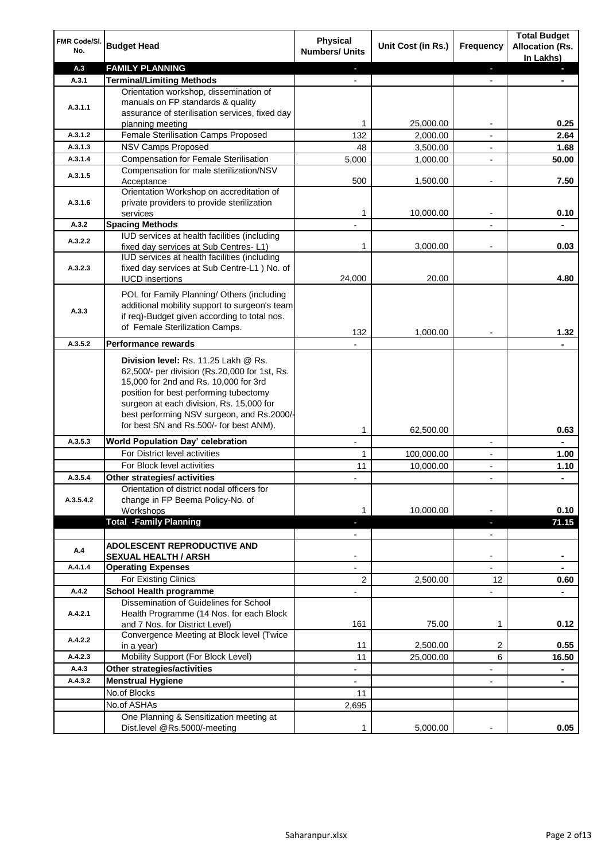| FMR Code/SI.<br>No.  | <b>Budget Head</b>                                                                                                                                                                                                                                                                                            | Physical<br><b>Numbers/ Units</b>                    | Unit Cost (in Rs.) | <b>Frequency</b>              | <b>Total Budget</b><br><b>Allocation (Rs.</b><br>In Lakhs) |
|----------------------|---------------------------------------------------------------------------------------------------------------------------------------------------------------------------------------------------------------------------------------------------------------------------------------------------------------|------------------------------------------------------|--------------------|-------------------------------|------------------------------------------------------------|
| A.3                  | <b>FAMILY PLANNING</b>                                                                                                                                                                                                                                                                                        | $\sim$                                               |                    | $\overline{\phantom{a}}$      | $\sim$                                                     |
| A.3.1                | <b>Terminal/Limiting Methods</b>                                                                                                                                                                                                                                                                              |                                                      |                    |                               |                                                            |
| A.3.1.1              | Orientation workshop, dissemination of<br>manuals on FP standards & quality<br>assurance of sterilisation services, fixed day<br>planning meeting                                                                                                                                                             | 1                                                    | 25,000.00          | $\overline{\phantom{a}}$      | 0.25                                                       |
| A.3.1.2              | Female Sterilisation Camps Proposed                                                                                                                                                                                                                                                                           | 132                                                  | 2,000.00           |                               | 2.64                                                       |
| A.3.1.3              | <b>NSV Camps Proposed</b>                                                                                                                                                                                                                                                                                     | 48                                                   | 3,500.00           |                               | 1.68                                                       |
| A.3.1.4              | <b>Compensation for Female Sterilisation</b>                                                                                                                                                                                                                                                                  | 5,000                                                | 1,000.00           | $\overline{\phantom{a}}$      | 50.00                                                      |
| A.3.1.5              | Compensation for male sterilization/NSV<br>Acceptance                                                                                                                                                                                                                                                         | 500                                                  | 1,500.00           |                               | 7.50                                                       |
| A.3.1.6              | Orientation Workshop on accreditation of<br>private providers to provide sterilization<br>services                                                                                                                                                                                                            | 1                                                    | 10,000.00          | $\blacksquare$                | 0.10                                                       |
| A.3.2                | <b>Spacing Methods</b>                                                                                                                                                                                                                                                                                        |                                                      |                    |                               | ä,                                                         |
| A.3.2.2              | IUD services at health facilities (including<br>fixed day services at Sub Centres-L1)                                                                                                                                                                                                                         | 1                                                    | 3,000.00           | $\overline{\phantom{a}}$      | 0.03                                                       |
| A.3.2.3              | IUD services at health facilities (including<br>fixed day services at Sub Centre-L1 ) No. of<br><b>IUCD</b> insertions                                                                                                                                                                                        | 24,000                                               | 20.00              |                               | 4.80                                                       |
| A.3.3                | POL for Family Planning/ Others (including<br>additional mobility support to surgeon's team<br>if req)-Budget given according to total nos.<br>of Female Sterilization Camps.                                                                                                                                 | 132                                                  | 1,000.00           |                               | 1.32                                                       |
| A.3.5.2              | <b>Performance rewards</b>                                                                                                                                                                                                                                                                                    |                                                      |                    |                               |                                                            |
|                      | Division level: Rs. 11.25 Lakh @ Rs.<br>62,500/- per division (Rs.20,000 for 1st, Rs.<br>15,000 for 2nd and Rs. 10,000 for 3rd<br>position for best performing tubectomy<br>surgeon at each division, Rs. 15,000 for<br>best performing NSV surgeon, and Rs.2000/-<br>for best SN and Rs.500/- for best ANM). |                                                      |                    |                               |                                                            |
|                      |                                                                                                                                                                                                                                                                                                               | 1                                                    | 62,500.00          |                               | 0.63                                                       |
| A.3.5.3              | World Population Day' celebration                                                                                                                                                                                                                                                                             |                                                      |                    |                               |                                                            |
|                      | For District level activities                                                                                                                                                                                                                                                                                 | 1                                                    | 100,000.00         |                               | 1.00                                                       |
|                      | For Block level activities                                                                                                                                                                                                                                                                                    | 11                                                   | 10,000.00          | $\blacksquare$                | 1.10                                                       |
| A.3.5.4<br>A.3.5.4.2 | Other strategies/ activities<br>Orientation of district nodal officers for<br>change in FP Beema Policy-No. of<br>Workshops                                                                                                                                                                                   | 1                                                    | 10,000.00          |                               | 0.10                                                       |
|                      | <b>Total -Family Planning</b>                                                                                                                                                                                                                                                                                 | $\overline{\phantom{a}}$<br>$\overline{\phantom{a}}$ |                    | ٠<br>$\overline{\phantom{a}}$ | 71.15                                                      |
| A.4                  | ADOLESCENT REPRODUCTIVE AND<br><b>SEXUAL HEALTH / ARSH</b>                                                                                                                                                                                                                                                    |                                                      |                    | $\blacksquare$                |                                                            |
| A.4.1.4              | <b>Operating Expenses</b>                                                                                                                                                                                                                                                                                     |                                                      |                    |                               |                                                            |
|                      | For Existing Clinics                                                                                                                                                                                                                                                                                          | 2                                                    | 2,500.00           | 12                            | 0.60                                                       |
| A.4.2                | <b>School Health programme</b>                                                                                                                                                                                                                                                                                |                                                      |                    | $\overline{a}$                |                                                            |
| A.4.2.1              | Dissemination of Guidelines for School<br>Health Programme (14 Nos. for each Block<br>and 7 Nos. for District Level)                                                                                                                                                                                          | 161                                                  | 75.00              | 1                             | 0.12                                                       |
| A.4.2.2              | Convergence Meeting at Block level (Twice<br>in a year)                                                                                                                                                                                                                                                       | 11                                                   | 2,500.00           | 2                             | 0.55                                                       |
| A.4.2.3              | Mobility Support (For Block Level)                                                                                                                                                                                                                                                                            | 11                                                   | 25,000.00          | 6                             | 16.50                                                      |
| A.4.3                | Other strategies/activities                                                                                                                                                                                                                                                                                   | $\overline{\phantom{a}}$                             |                    | -                             | ۰                                                          |
| A.4.3.2              | <b>Menstrual Hygiene</b>                                                                                                                                                                                                                                                                                      | $\overline{\phantom{0}}$                             |                    | ٠                             | ۰                                                          |
|                      | No.of Blocks                                                                                                                                                                                                                                                                                                  | 11                                                   |                    |                               |                                                            |
|                      | No.of ASHAs                                                                                                                                                                                                                                                                                                   | 2,695                                                |                    |                               |                                                            |
|                      | One Planning & Sensitization meeting at<br>Dist.level @Rs.5000/-meeting                                                                                                                                                                                                                                       | 1                                                    | 5,000.00           |                               | 0.05                                                       |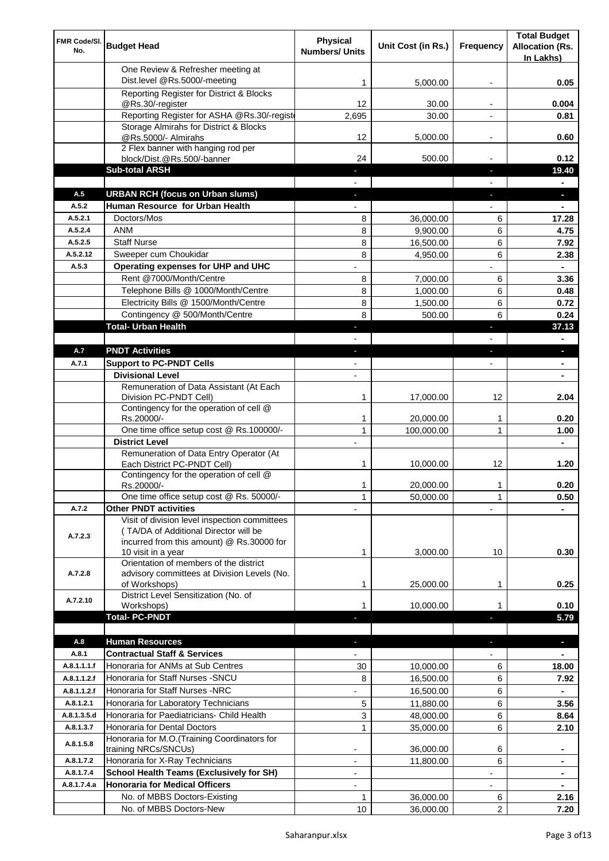| FMR Code/SI.<br>No.        | <b>Budget Head</b>                                                                                       | <b>Physical</b><br><b>Numbers/ Units</b> | Unit Cost (in Rs.)     | Frequency                | <b>Total Budget</b><br><b>Allocation (Rs.</b><br>In Lakhs) |
|----------------------------|----------------------------------------------------------------------------------------------------------|------------------------------------------|------------------------|--------------------------|------------------------------------------------------------|
|                            | One Review & Refresher meeting at<br>Dist.level @Rs.5000/-meeting                                        | 1                                        | 5,000.00               |                          | 0.05                                                       |
|                            | Reporting Register for District & Blocks                                                                 |                                          |                        |                          |                                                            |
|                            | @Rs.30/-register                                                                                         | 12                                       | 30.00                  |                          | 0.004                                                      |
|                            | Reporting Register for ASHA @Rs.30/-regist                                                               | 2,695                                    | 30.00                  |                          | 0.81                                                       |
|                            | Storage Almirahs for District & Blocks<br>@Rs.5000/- Almirahs                                            | 12                                       | 5,000.00               | $\overline{\phantom{a}}$ | 0.60                                                       |
|                            | 2 Flex banner with hanging rod per                                                                       |                                          |                        |                          |                                                            |
|                            | block/Dist.@Rs.500/-banner                                                                               | 24                                       | 500.00                 |                          | 0.12                                                       |
|                            | <b>Sub-total ARSH</b>                                                                                    |                                          |                        | $\sim$                   | 19.40                                                      |
| A.5                        | <b>URBAN RCH (focus on Urban slums)</b>                                                                  |                                          |                        |                          | a.                                                         |
| A.5.2                      | Human Resource for Urban Health                                                                          |                                          |                        |                          |                                                            |
| A.5.2.1                    | Doctors/Mos                                                                                              | 8                                        | 36,000.00              | 6                        | 17.28                                                      |
| A.5.2.4                    | <b>ANM</b>                                                                                               | 8                                        | 9,900.00               | 6                        | 4.75                                                       |
| A.5.2.5<br>A.5.2.12        | <b>Staff Nurse</b><br>Sweeper cum Choukidar                                                              | 8<br>8                                   | 16,500.00              | 6<br>6                   | 7.92                                                       |
| A.5.3                      | Operating expenses for UHP and UHC                                                                       |                                          | 4,950.00               |                          | 2.38<br>$\blacksquare$                                     |
|                            | Rent @7000/Month/Centre                                                                                  | 8                                        | 7,000.00               | 6                        | 3.36                                                       |
|                            | Telephone Bills @ 1000/Month/Centre                                                                      | 8                                        | 1,000.00               | 6                        | 0.48                                                       |
|                            | Electricity Bills @ 1500/Month/Centre                                                                    | 8                                        | 1,500.00               | 6                        | 0.72                                                       |
|                            | Contingency @ 500/Month/Centre                                                                           | 8                                        | 500.00                 | 6                        | 0.24                                                       |
|                            | <b>Total- Urban Health</b>                                                                               | $\overline{\phantom{a}}$                 |                        | ×                        | 37.13                                                      |
|                            |                                                                                                          |                                          |                        |                          | $\blacksquare$                                             |
| A.7                        | <b>PNDT Activities</b>                                                                                   | ٠                                        |                        | ٠                        | ٠                                                          |
| A.7.1                      | <b>Support to PC-PNDT Cells</b>                                                                          | $\blacksquare$                           |                        | $\blacksquare$           | $\blacksquare$                                             |
|                            | <b>Divisional Level</b>                                                                                  | $\blacksquare$                           |                        |                          |                                                            |
|                            | Remuneration of Data Assistant (At Each<br>Division PC-PNDT Cell)                                        | 1                                        | 17,000.00              | 12                       | 2.04                                                       |
|                            | Contingency for the operation of cell @<br>Rs.20000/-                                                    | 1                                        | 20,000.00              | 1                        | 0.20                                                       |
|                            | One time office setup cost @ Rs.100000/-                                                                 | $\mathbf{1}$                             | 100,000.00             | 1                        | 1.00                                                       |
|                            | <b>District Level</b>                                                                                    |                                          |                        |                          |                                                            |
|                            | Remuneration of Data Entry Operator (At                                                                  |                                          |                        |                          |                                                            |
|                            | Each District PC-PNDT Cell)                                                                              | 1                                        | 10,000.00              | 12                       | 1.20                                                       |
|                            | Contingency for the operation of cell @<br>Rs.20000/-                                                    | 1                                        | 20,000.00              | 1                        | 0.20                                                       |
|                            | One time office setup cost @ Rs. 50000/-                                                                 | $\mathbf{1}$                             | 50,000.00              | 1                        | 0.50                                                       |
| A.7.2                      | <b>Other PNDT activities</b><br>Visit of division level inspection committees                            |                                          |                        |                          |                                                            |
| A.7.2.3                    | (TA/DA of Additional Director will be<br>incurred from this amount) @ Rs.30000 for<br>10 visit in a year | 1                                        | 3,000.00               | 10                       | 0.30                                                       |
| A.7.2.8                    | Orientation of members of the district<br>advisory committees at Division Levels (No.<br>of Workshops)   | 1                                        | 25,000.00              | 1                        | 0.25                                                       |
|                            | District Level Sensitization (No. of                                                                     |                                          |                        |                          |                                                            |
| A.7.2.10                   | Workshops)                                                                                               | 1                                        | 10,000.00              |                          | 0.10                                                       |
|                            | <b>Total- PC-PNDT</b>                                                                                    |                                          |                        |                          | 5.79                                                       |
|                            |                                                                                                          |                                          |                        |                          |                                                            |
| A.8                        | <b>Human Resources</b>                                                                                   |                                          |                        |                          | a,                                                         |
| A.8.1                      | <b>Contractual Staff &amp; Services</b><br>Honoraria for ANMs at Sub Centres                             |                                          |                        |                          |                                                            |
| A.8.1.1.1.f<br>A.8.1.1.2.f | Honoraria for Staff Nurses - SNCU                                                                        | 30<br>8                                  | 10,000.00<br>16,500.00 | 6<br>6                   | 18.00<br>7.92                                              |
| A.8.1.1.2.f                | Honoraria for Staff Nurses -NRC                                                                          |                                          |                        | 6                        |                                                            |
| A.8.1.2.1                  | Honoraria for Laboratory Technicians                                                                     | 5                                        | 16,500.00<br>11,880.00 | 6                        | 3.56                                                       |
| A.8.1.3.5.d                | Honoraria for Paediatricians- Child Health                                                               | 3                                        | 48,000.00              | 6                        | 8.64                                                       |
| A.8.1.3.7                  | Honoraria for Dental Doctors                                                                             | $\mathbf{1}$                             | 35,000.00              | 6                        | 2.10                                                       |
|                            | Honoraria for M.O. (Training Coordinators for                                                            |                                          |                        |                          |                                                            |
| A.8.1.5.8                  | training NRCs/SNCUs)                                                                                     |                                          | 36,000.00              | 6                        | ۰                                                          |
| A.8.1.7.2                  | Honoraria for X-Ray Technicians                                                                          |                                          | 11,800.00              | 6                        |                                                            |
| A.8.1.7.4                  | <b>School Health Teams (Exclusively for SH)</b>                                                          |                                          |                        |                          | $\blacksquare$                                             |
| A.8.1.7.4.a                | <b>Honoraria for Medical Officers</b>                                                                    | $\overline{\phantom{a}}$                 |                        |                          | ۰                                                          |
|                            | No. of MBBS Doctors-Existing                                                                             | 1                                        | 36,000.00              | 6                        | 2.16                                                       |
|                            | No. of MBBS Doctors-New                                                                                  | 10                                       | 36,000.00              | 2                        | 7.20                                                       |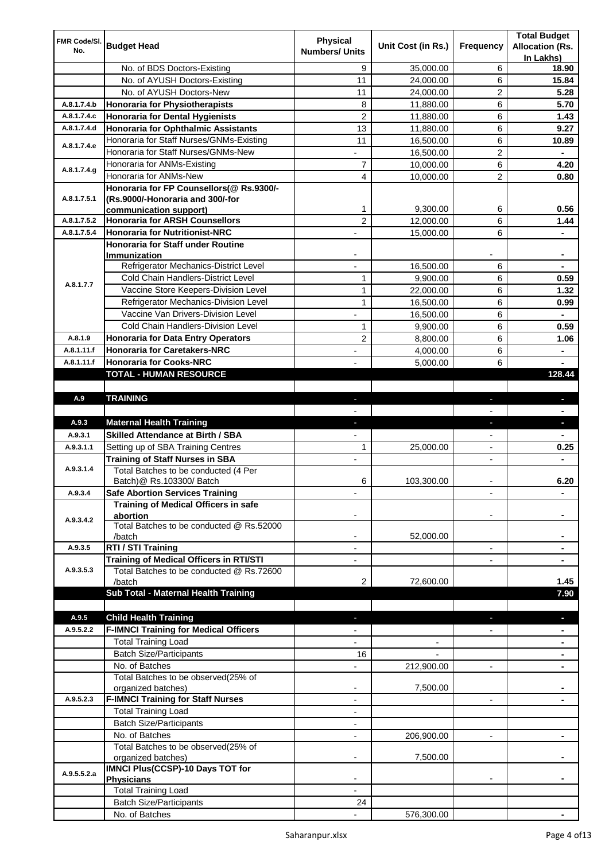| FMR Code/SI. |                                                                    | <b>Physical</b>          |                    |                          | <b>Total Budget</b>    |
|--------------|--------------------------------------------------------------------|--------------------------|--------------------|--------------------------|------------------------|
| No.          | <b>Budget Head</b>                                                 | <b>Numbers/ Units</b>    | Unit Cost (in Rs.) | Frequency                | <b>Allocation (Rs.</b> |
|              |                                                                    |                          |                    |                          | In Lakhs)              |
|              | No. of BDS Doctors-Existing                                        | 9                        | 35,000.00          | 6                        | 18.90                  |
|              | No. of AYUSH Doctors-Existing                                      | 11                       | 24,000.00          | 6                        | 15.84                  |
|              | No. of AYUSH Doctors-New                                           | 11                       | 24,000.00          | 2                        | 5.28                   |
| A.8.1.7.4.b  | <b>Honoraria for Physiotherapists</b>                              | 8                        | 11,880.00          | 6                        | 5.70                   |
| A.8.1.7.4.c  | <b>Honoraria for Dental Hygienists</b>                             | $\overline{c}$           | 11,880.00          | 6                        | 1.43                   |
| A.8.1.7.4.d  | <b>Honoraria for Ophthalmic Assistants</b>                         | 13                       | 11,880.00          | 6                        | 9.27                   |
| A.8.1.7.4.e  | Honoraria for Staff Nurses/GNMs-Existing                           | 11                       | 16,500.00          | 6                        | 10.89                  |
|              | Honoraria for Staff Nurses/GNMs-New                                |                          | 16,500.00          | $\overline{c}$           |                        |
| A.8.1.7.4.g  | Honoraria for ANMs-Existing                                        | 7                        | 10,000.00          | 6                        | 4.20                   |
|              | Honoraria for ANMs-New<br>Honoraria for FP Counsellors(@ Rs.9300/- | 4                        | 10,000.00          | 2                        | 0.80                   |
| A.8.1.7.5.1  | (Rs.9000/-Honoraria and 300/-for                                   |                          |                    |                          |                        |
|              | communication support)                                             | 1                        | 9,300.00           | 6                        | 0.56                   |
| A.8.1.7.5.2  | <b>Honoraria for ARSH Counsellors</b>                              | $\overline{c}$           | 12,000.00          | 6                        | 1.44                   |
| A.8.1.7.5.4  | <b>Honoraria for Nutritionist-NRC</b>                              |                          | 15,000.00          | 6                        |                        |
|              | Honoraria for Staff under Routine                                  |                          |                    |                          |                        |
|              | Immunization                                                       |                          |                    |                          |                        |
|              | Refrigerator Mechanics-District Level                              |                          | 16,500.00          | 6                        |                        |
|              | Cold Chain Handlers-District Level                                 | $\mathbf{1}$             | 9,900.00           | 6                        | 0.59                   |
| A.8.1.7.7    | Vaccine Store Keepers-Division Level                               | $\mathbf{1}$             | 22,000.00          | 6                        | 1.32                   |
|              | Refrigerator Mechanics-Division Level                              | $\mathbf{1}$             | 16,500.00          | 6                        | 0.99                   |
|              | Vaccine Van Drivers-Division Level                                 |                          | 16,500.00          | 6                        | $\blacksquare$         |
|              | Cold Chain Handlers-Division Level                                 | 1                        | 9,900.00           | 6                        | 0.59                   |
| A.8.1.9      | <b>Honoraria for Data Entry Operators</b>                          | 2                        | 8,800.00           | 6                        | 1.06                   |
| A.8.1.11.f   | <b>Honoraria for Caretakers-NRC</b>                                | $\blacksquare$           | 4,000.00           | 6                        | ٠                      |
| A.8.1.11.f   | <b>Honoraria for Cooks-NRC</b>                                     |                          | 5,000.00           | 6                        |                        |
|              | TOTAL - HUMAN RESOURCE                                             |                          |                    |                          | 128.44                 |
|              |                                                                    |                          |                    |                          |                        |
| A.9          | <b>TRAINING</b>                                                    | ٠                        |                    | ٠                        | $\blacksquare$         |
|              |                                                                    |                          |                    |                          |                        |
| A.9.3        | <b>Maternal Health Training</b>                                    | ٠                        |                    | ٠                        | ٠                      |
| A.9.3.1      | Skilled Attendance at Birth / SBA                                  |                          |                    |                          |                        |
| A.9.3.1.1    | Setting up of SBA Training Centres                                 | 1                        | 25,000.00          | $\overline{\phantom{a}}$ | 0.25                   |
|              | <b>Training of Staff Nurses in SBA</b>                             | $\overline{\phantom{a}}$ |                    | $\overline{\phantom{0}}$ |                        |
| A.9.3.1.4    | Total Batches to be conducted (4 Per                               |                          |                    |                          |                        |
|              | Batch) @ Rs.103300/ Batch                                          | 6                        | 103,300.00         |                          | 6.20                   |
| A.9.3.4      | <b>Safe Abortion Services Training</b>                             |                          |                    |                          |                        |
|              | Training of Medical Officers in safe                               |                          |                    |                          |                        |
| A.9.3.4.2    | abortion<br>Total Batches to be conducted @ Rs.52000               |                          |                    |                          |                        |
|              | /batch                                                             |                          | 52,000.00          |                          |                        |
| A.9.3.5      | RTI / STI Training                                                 |                          |                    | $\overline{a}$           |                        |
|              | Training of Medical Officers in RTI/STI                            |                          |                    |                          |                        |
| A.9.3.5.3    | Total Batches to be conducted @ Rs.72600                           |                          |                    |                          |                        |
|              | /batch                                                             | 2                        | 72,600.00          |                          | 1.45                   |
|              | Sub Total - Maternal Health Training                               |                          |                    |                          | 7.90                   |
|              |                                                                    |                          |                    |                          |                        |
| A.9.5        | <b>Child Health Training</b>                                       |                          |                    |                          |                        |
| A.9.5.2.2    | <b>F-IMNCI Training for Medical Officers</b>                       |                          |                    |                          |                        |
|              | <b>Total Training Load</b>                                         |                          |                    |                          |                        |
|              | <b>Batch Size/Participants</b>                                     | 16                       |                    |                          |                        |
|              | No. of Batches                                                     |                          | 212,900.00         | $\overline{a}$           |                        |
|              | Total Batches to be observed(25% of                                |                          |                    |                          |                        |
|              | organized batches)                                                 | $\overline{\phantom{a}}$ | 7,500.00           |                          |                        |
| A.9.5.2.3    | <b>F-IMNCI Training for Staff Nurses</b>                           | $\overline{\phantom{a}}$ |                    | $\overline{\phantom{a}}$ | ۰                      |
|              | <b>Total Training Load</b>                                         | $\overline{\phantom{a}}$ |                    |                          |                        |
|              | <b>Batch Size/Participants</b>                                     |                          |                    |                          |                        |
|              | No. of Batches                                                     | $\overline{\phantom{a}}$ | 206,900.00         | $\overline{\phantom{a}}$ | ۰                      |
|              | Total Batches to be observed(25% of<br>organized batches)          |                          | 7,500.00           |                          |                        |
|              | IMNCI Plus(CCSP)-10 Days TOT for                                   |                          |                    |                          |                        |
| A.9.5.5.2.a  | <b>Physicians</b>                                                  |                          |                    |                          |                        |
|              | <b>Total Training Load</b>                                         |                          |                    |                          |                        |
|              |                                                                    |                          |                    |                          |                        |
|              | <b>Batch Size/Participants</b>                                     | 24                       |                    |                          |                        |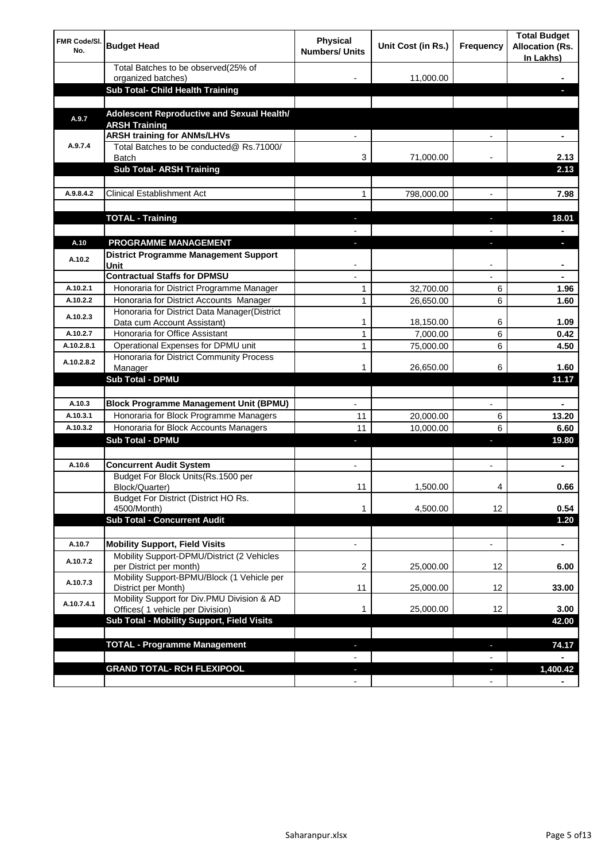| <b>FMR Code/SI.</b><br>No. | <b>Budget Head</b>                                                                  | Physical<br><b>Numbers/ Units</b> | Unit Cost (in Rs.) | Frequency                | <b>Total Budget</b><br><b>Allocation (Rs.</b><br>In Lakhs) |
|----------------------------|-------------------------------------------------------------------------------------|-----------------------------------|--------------------|--------------------------|------------------------------------------------------------|
|                            | Total Batches to be observed(25% of                                                 |                                   |                    |                          |                                                            |
|                            | organized batches)<br>Sub Total- Child Health Training                              |                                   | 11,000.00          |                          |                                                            |
|                            |                                                                                     |                                   |                    |                          |                                                            |
| A.9.7                      | Adolescent Reproductive and Sexual Health/<br><b>ARSH Training</b>                  |                                   |                    |                          |                                                            |
|                            | <b>ARSH training for ANMs/LHVs</b>                                                  |                                   |                    |                          |                                                            |
| A.9.7.4                    | Total Batches to be conducted@ Rs.71000/<br><b>Batch</b>                            | 3                                 | 71,000.00          |                          | 2.13                                                       |
|                            | <b>Sub Total- ARSH Training</b>                                                     |                                   |                    |                          | 2.13                                                       |
|                            |                                                                                     |                                   |                    |                          |                                                            |
| A.9.8.4.2                  | <b>Clinical Establishment Act</b>                                                   | 1                                 | 798,000.00         |                          | 7.98                                                       |
|                            | <b>TOTAL - Training</b>                                                             |                                   |                    |                          | 18.01                                                      |
|                            |                                                                                     |                                   |                    |                          |                                                            |
| A.10                       | <b>PROGRAMME MANAGEMENT</b>                                                         |                                   |                    |                          |                                                            |
| A.10.2                     | District Programme Management Support<br>Unit                                       |                                   |                    |                          |                                                            |
|                            | <b>Contractual Staffs for DPMSU</b>                                                 |                                   |                    |                          |                                                            |
| A.10.2.1                   | Honoraria for District Programme Manager                                            | 1                                 | 32,700.00          | 6                        | 1.96                                                       |
| A.10.2.2                   | Honoraria for District Accounts Manager                                             | 1                                 | 26,650.00          | 6                        | 1.60                                                       |
| A.10.2.3                   | Honoraria for District Data Manager(District<br>Data cum Account Assistant)         | 1                                 | 18,150.00          | 6                        | 1.09                                                       |
| A.10.2.7                   | Honoraria for Office Assistant                                                      | 1                                 | 7,000.00           | 6                        | 0.42                                                       |
| A.10.2.8.1                 | Operational Expenses for DPMU unit                                                  | 1                                 | 75,000.00          | 6                        | 4.50                                                       |
| A.10.2.8.2                 | Honoraria for District Community Process                                            |                                   |                    |                          | 1.60                                                       |
|                            | Manager<br>Sub Total - DPMU                                                         | 1                                 | 26,650.00          | 6                        | 11.17                                                      |
|                            |                                                                                     |                                   |                    |                          |                                                            |
| A.10.3                     | <b>Block Programme Management Unit (BPMU)</b>                                       | $\blacksquare$                    |                    | $\overline{\phantom{a}}$ | $\blacksquare$                                             |
| A.10.3.1                   | Honoraria for Block Programme Managers                                              | 11                                | 20,000.00          | 6                        | 13.20                                                      |
| A.10.3.2                   | Honoraria for Block Accounts Managers                                               | 11                                | 10,000.00          | 6                        | 6.60                                                       |
|                            | <b>Sub Total - DPMU</b>                                                             | ٠                                 |                    | J,                       | 19.80                                                      |
|                            |                                                                                     |                                   |                    |                          |                                                            |
| A.10.6                     | <b>Concurrent Audit System</b>                                                      | $\blacksquare$                    |                    | $\blacksquare$           | ۰                                                          |
|                            | Budget For Block Units(Rs.1500 per<br>Block/Quarter)                                | 11                                | 1,500.00           | 4                        | 0.66                                                       |
|                            | Budget For District (District HO Rs.<br>4500/Month)                                 | 1                                 | 4,500.00           | 12                       | 0.54                                                       |
|                            | <b>Sub Total - Concurrent Audit</b>                                                 |                                   |                    |                          | 1.20                                                       |
|                            |                                                                                     |                                   |                    |                          |                                                            |
| A.10.7<br>A.10.7.2         | <b>Mobility Support, Field Visits</b><br>Mobility Support-DPMU/District (2 Vehicles | $\overline{\phantom{a}}$          |                    | $\overline{\phantom{a}}$ | ۰                                                          |
|                            | per District per month)<br>Mobility Support-BPMU/Block (1 Vehicle per               | 2                                 | 25,000.00          | 12                       | 6.00                                                       |
| A.10.7.3                   | District per Month)                                                                 | 11                                | 25,000.00          | 12                       | 33.00                                                      |
| A.10.7.4.1                 | Mobility Support for Div.PMU Division & AD<br>Offices( 1 vehicle per Division)      | 1                                 | 25,000.00          | 12                       | 3.00                                                       |
|                            | Sub Total - Mobility Support, Field Visits                                          |                                   |                    |                          | 42.00                                                      |
|                            | <b>TOTAL - Programme Management</b>                                                 |                                   |                    |                          |                                                            |
|                            |                                                                                     |                                   |                    | ı                        | 74.17                                                      |
|                            | <b>GRAND TOTAL- RCH FLEXIPOOL</b>                                                   | ٠                                 |                    | H,                       | 1,400.42                                                   |
|                            |                                                                                     | $\blacksquare$                    |                    | $\overline{\phantom{a}}$ |                                                            |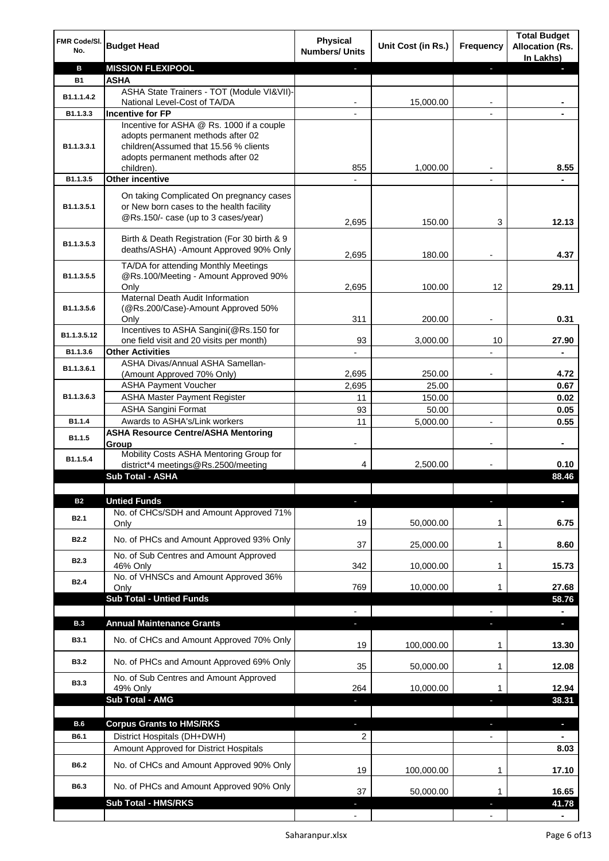| FMR Code/SI.<br>No. | <b>Budget Head</b>                                                                                                          | <b>Physical</b><br><b>Numbers/ Units</b> | Unit Cost (in Rs.) | Frequency                | <b>Total Budget</b><br><b>Allocation (Rs.</b><br>In Lakhs) |
|---------------------|-----------------------------------------------------------------------------------------------------------------------------|------------------------------------------|--------------------|--------------------------|------------------------------------------------------------|
| в                   | <b>MISSION FLEXIPOOL</b>                                                                                                    |                                          |                    | ÷.                       |                                                            |
| <b>B1</b>           | <b>ASHA</b>                                                                                                                 |                                          |                    |                          |                                                            |
| B1.1.1.4.2          | ASHA State Trainers - TOT (Module VI&VII)-                                                                                  |                                          |                    |                          |                                                            |
| B1.1.3.3            | National Level-Cost of TA/DA<br><b>Incentive for FP</b>                                                                     |                                          | 15,000.00          |                          |                                                            |
|                     | Incentive for ASHA @ Rs. 1000 if a couple                                                                                   |                                          |                    |                          |                                                            |
| B1.1.3.3.1          | adopts permanent methods after 02<br>children(Assumed that 15.56 % clients<br>adopts permanent methods after 02             |                                          |                    |                          |                                                            |
|                     | children).                                                                                                                  | 855                                      | 1,000.00           |                          | 8.55                                                       |
| B1.1.3.5            | <b>Other incentive</b>                                                                                                      |                                          |                    |                          |                                                            |
| B1.1.3.5.1          | On taking Complicated On pregnancy cases<br>or New born cases to the health facility<br>@Rs.150/- case (up to 3 cases/year) | 2,695                                    | 150.00             | 3                        | 12.13                                                      |
| B1.1.3.5.3          | Birth & Death Registration (For 30 birth & 9<br>deaths/ASHA) -Amount Approved 90% Only                                      | 2,695                                    | 180.00             |                          | 4.37                                                       |
| B1.1.3.5.5          | TA/DA for attending Monthly Meetings<br>@Rs.100/Meeting - Amount Approved 90%<br>Only                                       | 2,695                                    | 100.00             | 12                       | 29.11                                                      |
|                     | Maternal Death Audit Information                                                                                            |                                          |                    |                          |                                                            |
| B1.1.3.5.6          | (@Rs.200/Case)-Amount Approved 50%                                                                                          |                                          |                    |                          |                                                            |
|                     | Only<br>Incentives to ASHA Sangini(@Rs.150 for                                                                              | 311                                      | 200.00             |                          | 0.31                                                       |
| B1.1.3.5.12         | one field visit and 20 visits per month)                                                                                    | 93                                       | 3,000.00           | 10                       | 27.90                                                      |
| B1.1.3.6            | <b>Other Activities</b>                                                                                                     |                                          |                    |                          |                                                            |
| B1.1.3.6.1          | ASHA Divas/Annual ASHA Samellan-                                                                                            |                                          |                    |                          |                                                            |
|                     | (Amount Approved 70% Only)                                                                                                  | 2,695                                    | 250.00             |                          | 4.72                                                       |
|                     | <b>ASHA Payment Voucher</b>                                                                                                 | 2,695                                    | 25.00              |                          | 0.67                                                       |
| B1.1.3.6.3          | <b>ASHA Master Payment Register</b>                                                                                         | 11                                       | 150.00             |                          | 0.02                                                       |
| B1.1.4              | <b>ASHA Sangini Format</b><br>Awards to ASHA's/Link workers                                                                 | 93<br>11                                 | 50.00<br>5,000.00  | $\blacksquare$           | 0.05<br>0.55                                               |
|                     | <b>ASHA Resource Centre/ASHA Mentoring</b>                                                                                  |                                          |                    |                          |                                                            |
| B1.1.5              | Group<br>Mobility Costs ASHA Mentoring Group for                                                                            | $\overline{\phantom{a}}$                 |                    | $\overline{\phantom{a}}$ | $\blacksquare$                                             |
| B1.1.5.4            | district*4 meetings@Rs.2500/meeting                                                                                         | 4                                        | 2,500.00           |                          | 0.10                                                       |
|                     | <b>Sub Total - ASHA</b>                                                                                                     |                                          |                    |                          | 88.46                                                      |
|                     |                                                                                                                             |                                          |                    |                          |                                                            |
| <b>B2</b>           | <b>Untied Funds</b>                                                                                                         |                                          |                    |                          |                                                            |
| B <sub>2.1</sub>    | No. of CHCs/SDH and Amount Approved 71%<br>Only                                                                             | 19                                       | 50,000.00          | 1                        | 6.75                                                       |
| <b>B2.2</b>         | No. of PHCs and Amount Approved 93% Only                                                                                    | 37                                       | 25,000.00          | 1                        | 8.60                                                       |
| <b>B2.3</b>         | No. of Sub Centres and Amount Approved                                                                                      | 342                                      | 10,000.00          |                          | 15.73                                                      |
|                     | 46% Only<br>No. of VHNSCs and Amount Approved 36%                                                                           |                                          |                    | 1                        |                                                            |
| <b>B2.4</b>         | Only                                                                                                                        | 769                                      | 10,000.00          | 1                        | 27.68                                                      |
|                     | <b>Sub Total - Untied Funds</b>                                                                                             |                                          |                    |                          | 58.76                                                      |
|                     |                                                                                                                             |                                          |                    |                          |                                                            |
| <b>B.3</b>          | <b>Annual Maintenance Grants</b>                                                                                            | J,                                       |                    | T                        | ٠                                                          |
| <b>B3.1</b>         | No. of CHCs and Amount Approved 70% Only                                                                                    | 19                                       | 100,000.00         | 1                        | 13.30                                                      |
| <b>B3.2</b>         | No. of PHCs and Amount Approved 69% Only                                                                                    | 35                                       | 50,000.00          | 1                        | 12.08                                                      |
| <b>B3.3</b>         | No. of Sub Centres and Amount Approved<br>49% Only                                                                          | 264                                      | 10,000.00          | 1                        | 12.94                                                      |
|                     | Sub Total - AMG                                                                                                             |                                          |                    |                          | 38.31                                                      |
|                     |                                                                                                                             |                                          |                    |                          |                                                            |
| B.6                 | <b>Corpus Grants to HMS/RKS</b>                                                                                             | ٠                                        |                    | ×,                       | $\overline{\phantom{a}}$                                   |
| B6.1                | District Hospitals (DH+DWH)                                                                                                 | 2                                        |                    |                          |                                                            |
|                     | Amount Approved for District Hospitals                                                                                      |                                          |                    |                          | 8.03                                                       |
| B6.2                | No. of CHCs and Amount Approved 90% Only                                                                                    | 19                                       | 100,000.00         | 1                        | 17.10                                                      |
| B6.3                | No. of PHCs and Amount Approved 90% Only                                                                                    | 37                                       | 50,000.00          | 1                        | 16.65                                                      |
|                     | Sub Total - HMS/RKS                                                                                                         |                                          |                    |                          | 41.78                                                      |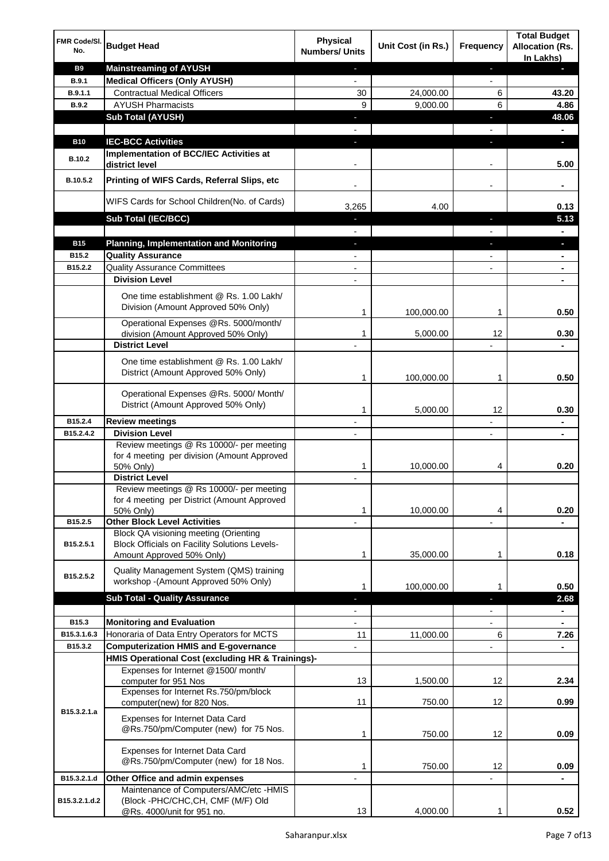| FMR Code/SI.<br>No.    | <b>Budget Head</b>                                                                      | <b>Physical</b><br><b>Numbers/ Units</b> | Unit Cost (in Rs.) | <b>Frequency</b>         | <b>Total Budget</b><br><b>Allocation (Rs.</b><br>In Lakhs) |
|------------------------|-----------------------------------------------------------------------------------------|------------------------------------------|--------------------|--------------------------|------------------------------------------------------------|
| <b>B9</b>              | <b>Mainstreaming of AYUSH</b>                                                           | ٠                                        |                    | ٠                        |                                                            |
| <b>B.9.1</b>           | <b>Medical Officers (Only AYUSH)</b>                                                    | $\overline{\phantom{a}}$                 |                    | $\overline{\phantom{a}}$ |                                                            |
| B.9.1.1                | <b>Contractual Medical Officers</b>                                                     | 30                                       | 24,000.00          | 6                        | 43.20                                                      |
| B.9.2                  | <b>AYUSH Pharmacists</b>                                                                | 9                                        | 9,000.00           | 6                        | 4.86                                                       |
|                        | <b>Sub Total (AYUSH)</b>                                                                | ٠                                        |                    | п                        | 48.06                                                      |
|                        |                                                                                         |                                          |                    |                          |                                                            |
| <b>B10</b>             | <b>IEC-BCC Activities</b>                                                               | $\blacksquare$                           |                    | T                        | D.                                                         |
|                        | Implementation of BCC/IEC Activities at                                                 |                                          |                    |                          |                                                            |
| <b>B.10.2</b>          | district level                                                                          |                                          |                    |                          | 5.00                                                       |
| B.10.5.2               | Printing of WIFS Cards, Referral Slips, etc                                             |                                          |                    | -                        | ٠                                                          |
|                        | WIFS Cards for School Children(No. of Cards)                                            | 3,265                                    | 4.00               |                          | 0.13                                                       |
|                        | Sub Total (IEC/BCC)                                                                     |                                          |                    |                          | 5.13                                                       |
| <b>B15</b>             | <b>Planning, Implementation and Monitoring</b>                                          |                                          |                    |                          |                                                            |
| B15.2                  | <b>Quality Assurance</b>                                                                |                                          |                    |                          |                                                            |
| B15.2.2                | <b>Quality Assurance Committees</b>                                                     |                                          |                    |                          |                                                            |
|                        | <b>Division Level</b>                                                                   |                                          |                    |                          |                                                            |
|                        | One time establishment @ Rs. 1.00 Lakh/                                                 |                                          |                    |                          |                                                            |
|                        | Division (Amount Approved 50% Only)                                                     |                                          |                    |                          |                                                            |
|                        |                                                                                         | 1                                        | 100,000.00         | 1                        | 0.50                                                       |
|                        | Operational Expenses @Rs. 5000/month/                                                   |                                          |                    |                          |                                                            |
|                        | division (Amount Approved 50% Only)                                                     | 1                                        | 5,000.00           | 12                       | 0.30                                                       |
|                        | <b>District Level</b>                                                                   |                                          |                    |                          |                                                            |
|                        | One time establishment @ Rs. 1.00 Lakh/<br>District (Amount Approved 50% Only)          |                                          |                    |                          |                                                            |
|                        |                                                                                         | 1                                        | 100,000.00         | 1                        | 0.50                                                       |
|                        | Operational Expenses @Rs. 5000/ Month/<br>District (Amount Approved 50% Only)           |                                          |                    |                          |                                                            |
|                        |                                                                                         | 1                                        | 5,000.00           | $12 \overline{ }$        | 0.30                                                       |
| B15.2.4                | <b>Review meetings</b>                                                                  |                                          |                    |                          |                                                            |
| B15.2.4.2              | <b>Division Level</b>                                                                   |                                          |                    | ٠                        | $\blacksquare$                                             |
|                        | Review meetings @ Rs 10000/- per meeting<br>for 4 meeting per division (Amount Approved |                                          |                    |                          |                                                            |
|                        | 50% Only)                                                                               | 1                                        | 10,000.00          | 4                        | 0.20                                                       |
|                        | <b>District Level</b>                                                                   |                                          |                    |                          |                                                            |
|                        | Review meetings @ Rs 10000/- per meeting<br>for 4 meeting per District (Amount Approved |                                          |                    |                          |                                                            |
|                        | 50% Only)                                                                               | 1                                        | 10,000.00          | 4                        | 0.20                                                       |
| B15.2.5                | <b>Other Block Level Activities</b>                                                     |                                          |                    |                          |                                                            |
|                        | Block QA visioning meeting (Orienting                                                   |                                          |                    |                          |                                                            |
| B15.2.5.1              | Block Officials on Facility Solutions Levels-<br>Amount Approved 50% Only)              | 1                                        | 35,000.00          | 1                        | 0.18                                                       |
|                        | Quality Management System (QMS) training                                                |                                          |                    |                          |                                                            |
| B <sub>15.2</sub> .5.2 | workshop -(Amount Approved 50% Only)                                                    | 1                                        | 100,000.00         | 1                        | 0.50                                                       |
|                        | <b>Sub Total - Quality Assurance</b>                                                    |                                          |                    |                          | 2.68                                                       |
|                        |                                                                                         |                                          |                    | $\overline{a}$           | $\blacksquare$                                             |
| B15.3                  | <b>Monitoring and Evaluation</b>                                                        |                                          |                    |                          |                                                            |
| B15.3.1.6.3            | Honoraria of Data Entry Operators for MCTS                                              | 11                                       | 11,000.00          | 6                        | 7.26                                                       |
| B15.3.2                | <b>Computerization HMIS and E-governance</b>                                            |                                          |                    | $\overline{a}$           | $\blacksquare$                                             |
|                        | HMIS Operational Cost (excluding HR & Trainings)-                                       |                                          |                    |                          |                                                            |
|                        | Expenses for Internet @1500/month/<br>computer for 951 Nos                              | 13                                       | 1,500.00           | 12                       | 2.34                                                       |
|                        | Expenses for Internet Rs.750/pm/block<br>computer(new) for 820 Nos.                     | 11                                       | 750.00             | 12                       | 0.99                                                       |
| B15.3.2.1.a            | Expenses for Internet Data Card                                                         |                                          |                    |                          |                                                            |
|                        | @Rs.750/pm/Computer (new) for 75 Nos.                                                   | 1                                        | 750.00             | 12                       | 0.09                                                       |
|                        | Expenses for Internet Data Card<br>@Rs.750/pm/Computer (new) for 18 Nos.                | 1                                        | 750.00             | 12                       | 0.09                                                       |
| B15.3.2.1.d            | Other Office and admin expenses                                                         |                                          |                    |                          |                                                            |
|                        | Maintenance of Computers/AMC/etc -HMIS                                                  |                                          |                    |                          |                                                            |
| B15.3.2.1.d.2          | (Block -PHC/CHC, CH, CMF (M/F) Old<br>@Rs. 4000/unit for 951 no.                        | 13                                       | 4,000.00           | 1                        | 0.52                                                       |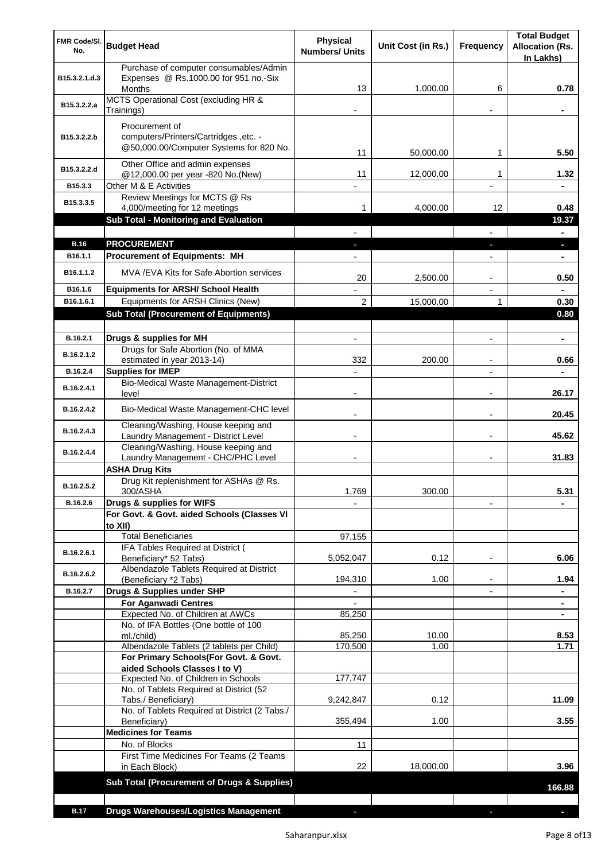| <b>FMR Code/SI.</b><br>No. | <b>Budget Head</b>                                                                                 | <b>Physical</b><br><b>Numbers/ Units</b> | Unit Cost (in Rs.) | Frequency                | <b>Total Budget</b><br><b>Allocation (Rs.</b><br>In Lakhs) |
|----------------------------|----------------------------------------------------------------------------------------------------|------------------------------------------|--------------------|--------------------------|------------------------------------------------------------|
| B15.3.2.1.d.3              | Purchase of computer consumables/Admin<br>Expenses @ Rs.1000.00 for 951 no.-Six<br><b>Months</b>   | 13                                       | 1,000.00           | 6                        | 0.78                                                       |
| B15.3.2.2.a                | MCTS Operational Cost (excluding HR &<br>Trainings)                                                |                                          |                    |                          |                                                            |
| B15.3.2.2.b                | Procurement of<br>computers/Printers/Cartridges, etc. -<br>@50,000.00/Computer Systems for 820 No. | 11                                       | 50,000.00          | 1                        | 5.50                                                       |
| B15.3.2.2.d                | Other Office and admin expenses<br>@12,000.00 per year -820 No.(New)                               | 11                                       | 12,000.00          | 1                        | 1.32                                                       |
| B15.3.3                    | Other M & E Activities                                                                             |                                          |                    |                          |                                                            |
| B15.3.3.5                  | Review Meetings for MCTS @ Rs                                                                      |                                          |                    |                          |                                                            |
|                            | 4,000/meeting for 12 meetings                                                                      | 1                                        | 4,000.00           | 12                       | 0.48                                                       |
|                            | Sub Total - Monitoring and Evaluation                                                              |                                          |                    |                          | 19.37                                                      |
| <b>B.16</b>                | <b>PROCUREMENT</b>                                                                                 |                                          |                    |                          | ı                                                          |
| B <sub>16.1.1</sub>        | <b>Procurement of Equipments: MH</b>                                                               |                                          |                    |                          |                                                            |
| B <sub>16.1.1.2</sub>      | MVA/EVA Kits for Safe Abortion services                                                            | 20                                       | 2,500.00           |                          | 0.50                                                       |
| B16.1.6                    | <b>Equipments for ARSH/ School Health</b>                                                          |                                          |                    |                          |                                                            |
| B16.1.6.1                  | Equipments for ARSH Clinics (New)                                                                  | $\overline{2}$                           | 15,000.00          | 1                        | 0.30                                                       |
|                            | <b>Sub Total (Procurement of Equipments)</b>                                                       |                                          |                    |                          | 0.80                                                       |
| B.16.2.1                   | Drugs & supplies for MH                                                                            |                                          |                    |                          |                                                            |
| B.16.2.1.2                 | Drugs for Safe Abortion (No. of MMA<br>estimated in year 2013-14)                                  | 332                                      | 200.00             |                          | 0.66                                                       |
| B.16.2.4                   | <b>Supplies for IMEP</b>                                                                           |                                          |                    |                          |                                                            |
| B.16.2.4.1                 | Bio-Medical Waste Management-District<br>level                                                     |                                          |                    |                          | 26.17                                                      |
| B.16.2.4.2                 | Bio-Medical Waste Management-CHC level                                                             |                                          |                    |                          | 20.45                                                      |
| B.16.2.4.3                 | Cleaning/Washing, House keeping and<br>Laundry Management - District Level                         |                                          |                    |                          | 45.62                                                      |
| B.16.2.4.4                 | Cleaning/Washing, House keeping and<br>Laundry Management - CHC/PHC Level                          |                                          |                    |                          | 31.83                                                      |
|                            | <b>ASHA Drug Kits</b><br>Drug Kit replenishment for ASHAs @ Rs.                                    |                                          |                    |                          |                                                            |
| B.16.2.5.2                 | 300/ASHA                                                                                           | 1,769                                    | 300.00             |                          | 5.31                                                       |
| B.16.2.6                   | Drugs & supplies for WIFS                                                                          |                                          |                    |                          |                                                            |
|                            | For Govt. & Govt. aided Schools (Classes VI                                                        |                                          |                    |                          |                                                            |
|                            | to XII)<br><b>Total Beneficiaries</b>                                                              | 97,155                                   |                    |                          |                                                            |
| B.16.2.6.1                 | IFA Tables Required at District (                                                                  |                                          |                    |                          |                                                            |
|                            | Beneficiary* 52 Tabs)<br>Albendazole Tablets Required at District                                  | 5,052,047                                | 0.12               |                          | 6.06                                                       |
| B.16.2.6.2                 | (Beneficiary *2 Tabs)                                                                              | 194,310                                  | 1.00               | $\overline{\phantom{a}}$ | 1.94                                                       |
| B.16.2.7                   | Drugs & Supplies under SHP                                                                         | $\overline{\phantom{a}}$                 |                    | $\overline{\phantom{a}}$ | ٠                                                          |
|                            | <b>For Aganwadi Centres</b>                                                                        |                                          |                    |                          | $\blacksquare$                                             |
|                            | Expected No. of Children at AWCs<br>No. of IFA Bottles (One bottle of 100                          | 85,250                                   |                    |                          |                                                            |
|                            | ml./child)                                                                                         | 85,250                                   | 10.00              |                          | 8.53                                                       |
|                            | Albendazole Tablets (2 tablets per Child)                                                          | 170,500                                  | 1.00               |                          | 1.71                                                       |
|                            | For Primary Schools(For Govt. & Govt.<br>aided Schools Classes I to V)                             |                                          |                    |                          |                                                            |
|                            | Expected No. of Children in Schools                                                                | 177,747                                  |                    |                          |                                                            |
|                            | No. of Tablets Required at District (52<br>Tabs./ Beneficiary)                                     | 9,242,847                                | 0.12               |                          | 11.09                                                      |
|                            | No. of Tablets Required at District (2 Tabs./<br>Beneficiary)                                      | 355,494                                  | 1.00               |                          | 3.55                                                       |
|                            | <b>Medicines for Teams</b>                                                                         |                                          |                    |                          |                                                            |
|                            | No. of Blocks                                                                                      | 11                                       |                    |                          |                                                            |
|                            | First Time Medicines For Teams (2 Teams<br>in Each Block)                                          | 22                                       | 18,000.00          |                          | 3.96                                                       |
|                            | <b>Sub Total (Procurement of Drugs &amp; Supplies)</b>                                             |                                          |                    |                          |                                                            |
|                            |                                                                                                    |                                          |                    |                          | 166.88                                                     |
| <b>B.17</b>                | <b>Drugs Warehouses/Logistics Management</b>                                                       |                                          |                    |                          |                                                            |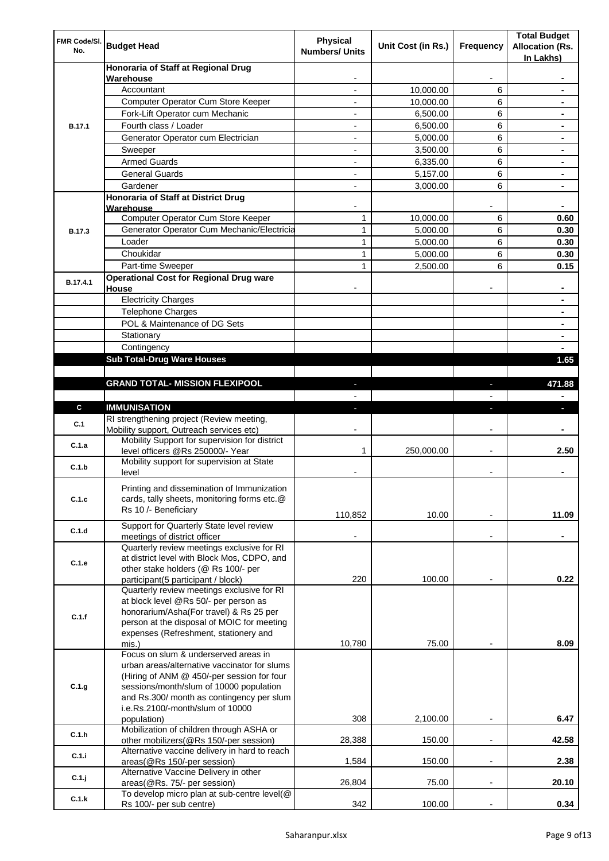| FMR Code/SI.<br>No. | <b>Budget Head</b>                                                                      | Physical<br><b>Numbers/ Units</b> | Unit Cost (in Rs.) | Frequency                | <b>Total Budget</b><br><b>Allocation (Rs.</b><br>In Lakhs) |
|---------------------|-----------------------------------------------------------------------------------------|-----------------------------------|--------------------|--------------------------|------------------------------------------------------------|
|                     | Honoraria of Staff at Regional Drug                                                     |                                   |                    |                          |                                                            |
|                     | Warehouse<br>Accountant                                                                 |                                   | 10,000.00          | 6                        |                                                            |
|                     | Computer Operator Cum Store Keeper                                                      |                                   | 10,000.00          | 6                        |                                                            |
|                     | Fork-Lift Operator cum Mechanic                                                         |                                   | 6,500.00           | 6                        |                                                            |
| <b>B.17.1</b>       | Fourth class / Loader                                                                   | $\overline{\phantom{0}}$          | 6,500.00           | 6                        |                                                            |
|                     | Generator Operator cum Electrician                                                      |                                   | 5,000.00           | 6                        |                                                            |
|                     | Sweeper                                                                                 |                                   | 3,500.00           | 6                        |                                                            |
|                     | <b>Armed Guards</b>                                                                     | ٠                                 | 6,335.00           | 6                        |                                                            |
|                     | <b>General Guards</b>                                                                   | ٠                                 | 5,157.00           | 6                        | $\blacksquare$                                             |
|                     | Gardener                                                                                | $\overline{\phantom{0}}$          | 3,000.00           | 6                        | $\blacksquare$                                             |
|                     | Honoraria of Staff at District Drug<br>Warehouse                                        |                                   |                    |                          |                                                            |
|                     | Computer Operator Cum Store Keeper                                                      | 1                                 | 10,000.00          | 6                        | 0.60                                                       |
| <b>B.17.3</b>       | Generator Operator Cum Mechanic/Electricia                                              | 1                                 | 5,000.00           | 6                        | 0.30                                                       |
|                     | Loader                                                                                  | 1                                 | 5,000.00           | 6                        | 0.30                                                       |
|                     | Choukidar                                                                               | 1                                 | 5,000.00           | 6                        | 0.30                                                       |
|                     | Part-time Sweeper                                                                       | $\mathbf{1}$                      | 2,500.00           | 6                        | 0.15                                                       |
| B.17.4.1            | <b>Operational Cost for Regional Drug ware</b><br>House                                 |                                   |                    |                          |                                                            |
|                     | <b>Electricity Charges</b>                                                              |                                   |                    |                          |                                                            |
|                     | <b>Telephone Charges</b>                                                                |                                   |                    |                          |                                                            |
|                     | POL & Maintenance of DG Sets                                                            |                                   |                    |                          |                                                            |
|                     | Stationary                                                                              |                                   |                    |                          | $\blacksquare$                                             |
|                     | Contingency                                                                             |                                   |                    |                          |                                                            |
|                     | <b>Sub Total-Drug Ware Houses</b>                                                       |                                   |                    |                          | 1.65                                                       |
|                     |                                                                                         |                                   |                    |                          |                                                            |
|                     | <b>GRAND TOTAL- MISSION FLEXIPOOL</b>                                                   |                                   |                    |                          | 471.88                                                     |
|                     |                                                                                         |                                   |                    |                          |                                                            |
| $\mathbf{c}$        | <b>IMMUNISATION</b>                                                                     |                                   |                    |                          |                                                            |
| C.1                 | RI strengthening project (Review meeting,<br>Mobility support, Outreach services etc)   |                                   |                    |                          |                                                            |
| C.1.a               | Mobility Support for supervision for district<br>level officers @Rs 250000/- Year       | 1                                 | 250,000.00         |                          | 2.50                                                       |
| C.1.b               | Mobility support for supervision at State<br>level                                      |                                   |                    |                          |                                                            |
|                     | Printing and dissemination of Immunization                                              |                                   |                    |                          |                                                            |
| C.1.c               | cards, tally sheets, monitoring forms etc.@<br>Rs 10 /- Beneficiary                     |                                   |                    |                          |                                                            |
|                     | Support for Quarterly State level review                                                | 110,852                           | 10.00              |                          | 11.09                                                      |
| C.1.d               | meetings of district officer<br>Quarterly review meetings exclusive for RI              |                                   |                    |                          |                                                            |
|                     | at district level with Block Mos, CDPO, and                                             |                                   |                    |                          |                                                            |
| C.1.e               | other stake holders (@ Rs 100/- per                                                     |                                   |                    |                          |                                                            |
|                     | participant(5 participant / block)                                                      | 220                               | 100.00             |                          | 0.22                                                       |
|                     | Quarterly review meetings exclusive for RI<br>at block level @Rs 50/- per person as     |                                   |                    |                          |                                                            |
|                     | honorarium/Asha(For travel) & Rs 25 per                                                 |                                   |                    |                          |                                                            |
| C.1.f               | person at the disposal of MOIC for meeting                                              |                                   |                    |                          |                                                            |
|                     | expenses (Refreshment, stationery and                                                   |                                   |                    |                          |                                                            |
|                     | mis.)<br>Focus on slum & underserved areas in                                           | 10,780                            | 75.00              |                          | 8.09                                                       |
|                     | urban areas/alternative vaccinator for slums                                            |                                   |                    |                          |                                                            |
|                     | (Hiring of ANM @ 450/-per session for four                                              |                                   |                    |                          |                                                            |
| C.1.g               | sessions/month/slum of 10000 population                                                 |                                   |                    |                          |                                                            |
|                     | and Rs.300/ month as contingency per slum                                               |                                   |                    |                          |                                                            |
|                     | i.e.Rs.2100/-month/slum of 10000                                                        |                                   |                    |                          |                                                            |
|                     | population)                                                                             | 308                               | 2,100.00           | $\overline{\phantom{a}}$ | 6.47                                                       |
| C.1.h               | Mobilization of children through ASHA or                                                |                                   |                    |                          |                                                            |
|                     | other mobilizers(@Rs 150/-per session)<br>Alternative vaccine delivery in hard to reach | 28,388                            | 150.00             |                          | 42.58                                                      |
| C.1.i               | areas(@Rs 150/-per session)                                                             | 1,584                             | 150.00             | $\overline{\phantom{a}}$ | 2.38                                                       |
| C.1.j               | Alternative Vaccine Delivery in other                                                   |                                   |                    |                          |                                                            |
|                     | areas(@Rs. 75/- per session)<br>To develop micro plan at sub-centre level(@             | 26,804                            | 75.00              |                          | 20.10                                                      |
| C.1.k               | Rs 100/- per sub centre)                                                                | 342                               | 100.00             |                          | 0.34                                                       |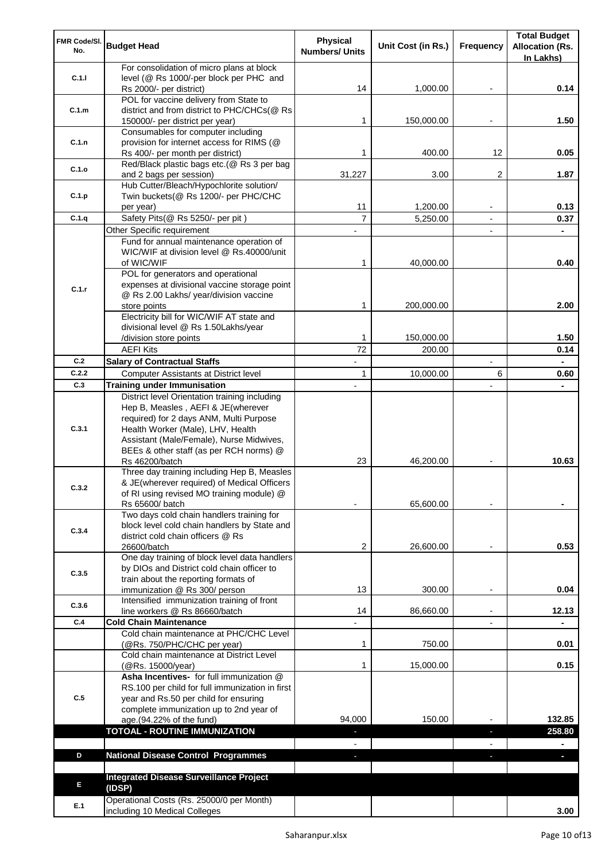| FMR Code/SI.<br>No.                                                                      | <b>Budget Head</b>                                                                         | Physical<br><b>Numbers/ Units</b> | Unit Cost (in Rs.) | Frequency                | <b>Total Budget</b><br><b>Allocation (Rs.</b> |
|------------------------------------------------------------------------------------------|--------------------------------------------------------------------------------------------|-----------------------------------|--------------------|--------------------------|-----------------------------------------------|
|                                                                                          | For consolidation of micro plans at block                                                  |                                   |                    |                          | In Lakhs)                                     |
| C.1.1                                                                                    | level (@ Rs 1000/-per block per PHC and                                                    |                                   |                    |                          |                                               |
|                                                                                          | Rs 2000/- per district)                                                                    | 14                                | 1,000.00           | $\overline{\phantom{a}}$ | 0.14                                          |
|                                                                                          | POL for vaccine delivery from State to                                                     |                                   |                    |                          |                                               |
| C.1.m                                                                                    | district and from district to PHC/CHCs(@ Rs                                                | 1                                 | 150,000.00         |                          | 1.50                                          |
|                                                                                          | 150000/- per district per year)<br>Consumables for computer including                      |                                   |                    |                          |                                               |
| C.1.n                                                                                    | provision for internet access for RIMS (@                                                  |                                   |                    |                          |                                               |
|                                                                                          | Rs 400/- per month per district)                                                           | 1                                 | 400.00             | 12                       | 0.05                                          |
|                                                                                          | Red/Black plastic bags etc.(@ Rs 3 per bag                                                 |                                   |                    |                          |                                               |
|                                                                                          | and 2 bags per session)                                                                    | 31,227                            | 3.00               | $\overline{2}$           | 1.87                                          |
|                                                                                          | Hub Cutter/Bleach/Hypochlorite solution/                                                   |                                   |                    |                          |                                               |
|                                                                                          | Twin buckets(@ Rs 1200/- per PHC/CHC<br>per year)                                          | 11                                | 1,200.00           |                          | 0.13                                          |
|                                                                                          | Safety Pits(@ Rs 5250/- per pit)                                                           | $\overline{7}$                    | 5,250.00           | $\blacksquare$           | 0.37                                          |
|                                                                                          | Other Specific requirement                                                                 |                                   |                    |                          |                                               |
|                                                                                          | Fund for annual maintenance operation of                                                   |                                   |                    |                          |                                               |
|                                                                                          | WIC/WIF at division level @ Rs.40000/unit                                                  |                                   |                    |                          |                                               |
|                                                                                          | of WIC/WIF                                                                                 | 1                                 | 40,000.00          |                          | 0.40                                          |
|                                                                                          | POL for generators and operational                                                         |                                   |                    |                          |                                               |
| C.1.r                                                                                    | expenses at divisional vaccine storage point<br>@ Rs 2.00 Lakhs/ year/division vaccine     |                                   |                    |                          |                                               |
|                                                                                          | store points                                                                               | 1                                 | 200,000.00         |                          | 2.00                                          |
|                                                                                          | Electricity bill for WIC/WIF AT state and                                                  |                                   |                    |                          |                                               |
|                                                                                          | divisional level @ Rs 1.50Lakhs/year                                                       |                                   |                    |                          |                                               |
|                                                                                          | /division store points                                                                     | 1                                 | 150,000.00         |                          | 1.50                                          |
|                                                                                          | <b>AEFI Kits</b>                                                                           | 72                                | 200.00             |                          | 0.14                                          |
|                                                                                          | <b>Salary of Contractual Staffs</b>                                                        |                                   |                    |                          |                                               |
|                                                                                          | Computer Assistants at District level                                                      | 1                                 | 10,000.00          | 6                        | 0.60                                          |
|                                                                                          | <b>Training under Immunisation</b>                                                         |                                   |                    |                          |                                               |
|                                                                                          | District level Orientation training including<br>Hep B, Measles, AEFI & JE(wherever        |                                   |                    |                          |                                               |
|                                                                                          | required) for 2 days ANM, Multi Purpose                                                    |                                   |                    |                          |                                               |
| C.3.1                                                                                    | Health Worker (Male), LHV, Health                                                          |                                   |                    |                          |                                               |
|                                                                                          | Assistant (Male/Female), Nurse Midwives,                                                   |                                   |                    |                          |                                               |
|                                                                                          | BEEs & other staff (as per RCH norms) @                                                    |                                   |                    |                          |                                               |
|                                                                                          | Rs 46200/batch                                                                             | 23                                | 46,200.00          |                          | 10.63                                         |
|                                                                                          | Three day training including Hep B, Measles<br>& JE(wherever required) of Medical Officers |                                   |                    |                          |                                               |
| C.3.2                                                                                    | of RI using revised MO training module) @                                                  |                                   |                    |                          |                                               |
|                                                                                          | Rs 65600/ batch                                                                            |                                   | 65,600.00          |                          |                                               |
|                                                                                          | Two days cold chain handlers training for                                                  |                                   |                    |                          |                                               |
| C.3.4                                                                                    | block level cold chain handlers by State and                                               |                                   |                    |                          |                                               |
|                                                                                          | district cold chain officers @ Rs                                                          |                                   |                    |                          |                                               |
|                                                                                          | 26600/batch<br>One day training of block level data handlers                               | 2                                 | 26,600.00          |                          | 0.53                                          |
|                                                                                          | by DIOs and District cold chain officer to                                                 |                                   |                    |                          |                                               |
|                                                                                          | train about the reporting formats of                                                       |                                   |                    |                          |                                               |
| C.1.o<br>C.1.p<br>C.1.q<br>C.2<br>C.2.2<br>C.3<br>C.3.5<br>C.3.6<br>C.4<br>C.5<br>D<br>E | immunization @ Rs 300/ person                                                              | 13                                | 300.00             |                          | 0.04                                          |
|                                                                                          | Intensified immunization training of front                                                 |                                   |                    |                          |                                               |
|                                                                                          | line workers @ Rs 86660/batch                                                              | 14                                | 86,660.00          |                          | 12.13                                         |
|                                                                                          | <b>Cold Chain Maintenance</b><br>Cold chain maintenance at PHC/CHC Level                   |                                   |                    |                          |                                               |
|                                                                                          | (@Rs. 750/PHC/CHC per year)                                                                | 1                                 | 750.00             |                          | 0.01                                          |
|                                                                                          | Cold chain maintenance at District Level                                                   |                                   |                    |                          |                                               |
|                                                                                          | (@Rs. 15000/year)                                                                          | 1                                 | 15,000.00          |                          | 0.15                                          |
|                                                                                          | Asha Incentives- for full immunization @                                                   |                                   |                    |                          |                                               |
|                                                                                          | RS.100 per child for full immunization in first                                            |                                   |                    |                          |                                               |
|                                                                                          | year and Rs.50 per child for ensuring                                                      |                                   |                    |                          |                                               |
|                                                                                          | complete immunization up to 2nd year of<br>age.(94.22% of the fund)                        | 94,000                            | 150.00             |                          | 132.85                                        |
|                                                                                          | <b>TOTOAL - ROUTINE IMMUNIZATION</b>                                                       |                                   |                    | J,                       | 258.80                                        |
|                                                                                          |                                                                                            |                                   |                    |                          |                                               |
|                                                                                          | <b>National Disease Control Programmes</b>                                                 | ٠                                 |                    |                          | ٠                                             |
|                                                                                          |                                                                                            |                                   |                    |                          |                                               |
|                                                                                          | <b>Integrated Disease Surveillance Project</b>                                             |                                   |                    |                          |                                               |
|                                                                                          | (IDSP)                                                                                     |                                   |                    |                          |                                               |
| E.1                                                                                      | Operational Costs (Rs. 25000/0 per Month)<br>including 10 Medical Colleges                 |                                   |                    |                          | 3.00                                          |
|                                                                                          |                                                                                            |                                   |                    |                          |                                               |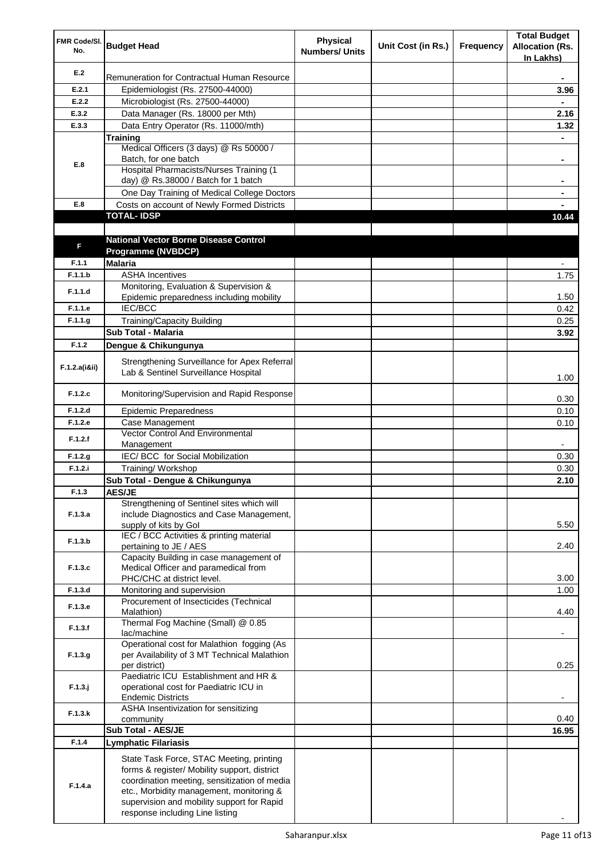| FMR Code/SI.<br>No. | <b>Budget Head</b>                                                                                                                                                                                                                                                    | <b>Physical</b><br><b>Numbers/ Units</b> | Unit Cost (in Rs.) | Frequency | <b>Total Budget</b><br><b>Allocation (Rs.</b><br>In Lakhs) |
|---------------------|-----------------------------------------------------------------------------------------------------------------------------------------------------------------------------------------------------------------------------------------------------------------------|------------------------------------------|--------------------|-----------|------------------------------------------------------------|
| E.2                 | Remuneration for Contractual Human Resource                                                                                                                                                                                                                           |                                          |                    |           |                                                            |
| E.2.1               | Epidemiologist (Rs. 27500-44000)                                                                                                                                                                                                                                      |                                          |                    |           | 3.96                                                       |
| E.2.2               | Microbiologist (Rs. 27500-44000)                                                                                                                                                                                                                                      |                                          |                    |           |                                                            |
| E.3.2               | Data Manager (Rs. 18000 per Mth)                                                                                                                                                                                                                                      |                                          |                    |           | 2.16                                                       |
| E.3.3               | Data Entry Operator (Rs. 11000/mth)                                                                                                                                                                                                                                   |                                          |                    |           | 1.32                                                       |
|                     | <b>Training</b>                                                                                                                                                                                                                                                       |                                          |                    |           |                                                            |
|                     | Medical Officers (3 days) @ Rs 50000 /                                                                                                                                                                                                                                |                                          |                    |           |                                                            |
| E.8                 | Batch, for one batch<br><b>Hospital Pharmacists/Nurses Training (1</b>                                                                                                                                                                                                |                                          |                    |           | $\blacksquare$                                             |
|                     | day) @ Rs.38000 / Batch for 1 batch                                                                                                                                                                                                                                   |                                          |                    |           |                                                            |
|                     | One Day Training of Medical College Doctors                                                                                                                                                                                                                           |                                          |                    |           |                                                            |
| E.8                 | Costs on account of Newly Formed Districts                                                                                                                                                                                                                            |                                          |                    |           |                                                            |
|                     | <b>TOTAL-IDSP</b>                                                                                                                                                                                                                                                     |                                          |                    |           | 10.44                                                      |
|                     |                                                                                                                                                                                                                                                                       |                                          |                    |           |                                                            |
|                     | <b>National Vector Borne Disease Control</b>                                                                                                                                                                                                                          |                                          |                    |           |                                                            |
| F                   | Programme (NVBDCP)                                                                                                                                                                                                                                                    |                                          |                    |           |                                                            |
| F.1.1               | <b>Malaria</b>                                                                                                                                                                                                                                                        |                                          |                    |           |                                                            |
| F.1.1.b             | <b>ASHA Incentives</b>                                                                                                                                                                                                                                                |                                          |                    |           | 1.75                                                       |
| F.1.1.d             | Monitoring, Evaluation & Supervision &                                                                                                                                                                                                                                |                                          |                    |           |                                                            |
|                     | Epidemic preparedness including mobility                                                                                                                                                                                                                              |                                          |                    |           | 1.50                                                       |
| F.1.1.e             | IEC/BCC                                                                                                                                                                                                                                                               |                                          |                    |           | 0.42                                                       |
| F.1.1.g             | <b>Training/Capacity Building</b>                                                                                                                                                                                                                                     |                                          |                    |           | 0.25                                                       |
|                     | <b>Sub Total - Malaria</b>                                                                                                                                                                                                                                            |                                          |                    |           | 3.92                                                       |
| F.1.2               | Dengue & Chikungunya                                                                                                                                                                                                                                                  |                                          |                    |           |                                                            |
| F.1.2.a(iⅈ)         | Strengthening Surveillance for Apex Referral<br>Lab & Sentinel Surveillance Hospital                                                                                                                                                                                  |                                          |                    |           | 1.00                                                       |
| F.1.2.c             | Monitoring/Supervision and Rapid Response                                                                                                                                                                                                                             |                                          |                    |           | 0.30                                                       |
| F.1.2.d             | <b>Epidemic Preparedness</b>                                                                                                                                                                                                                                          |                                          |                    |           | 0.10                                                       |
| F.1.2.e             | Case Management                                                                                                                                                                                                                                                       |                                          |                    |           | 0.10                                                       |
| F.1.2.f             | <b>Vector Control And Environmental</b>                                                                                                                                                                                                                               |                                          |                    |           |                                                            |
|                     | Management                                                                                                                                                                                                                                                            |                                          |                    |           |                                                            |
| F.1.2.g             | IEC/ BCC for Social Mobilization                                                                                                                                                                                                                                      |                                          |                    |           | 0.30                                                       |
| F.1.2.i             | Training/ Workshop                                                                                                                                                                                                                                                    |                                          |                    |           | 0.30                                                       |
|                     | Sub Total - Dengue & Chikungunya                                                                                                                                                                                                                                      |                                          |                    |           | 2.10                                                       |
| F.1.3               | <b>AES/JE</b><br>Strengthening of Sentinel sites which will                                                                                                                                                                                                           |                                          |                    |           |                                                            |
| F.1.3.a             | include Diagnostics and Case Management,<br>supply of kits by Gol                                                                                                                                                                                                     |                                          |                    |           | 5.50                                                       |
| F.1.3.b             | IEC / BCC Activities & printing material<br>pertaining to JE / AES                                                                                                                                                                                                    |                                          |                    |           | 2.40                                                       |
|                     | Capacity Building in case management of                                                                                                                                                                                                                               |                                          |                    |           |                                                            |
| F.1.3.c             | Medical Officer and paramedical from                                                                                                                                                                                                                                  |                                          |                    |           |                                                            |
|                     | PHC/CHC at district level.                                                                                                                                                                                                                                            |                                          |                    |           | 3.00                                                       |
| F.1.3.d             | Monitoring and supervision                                                                                                                                                                                                                                            |                                          |                    |           | 1.00                                                       |
| F.1.3.e             | Procurement of Insecticides (Technical<br>Malathion)                                                                                                                                                                                                                  |                                          |                    |           | 4.40                                                       |
| F.1.3.f             | Thermal Fog Machine (Small) @ 0.85<br>lac/machine                                                                                                                                                                                                                     |                                          |                    |           | ۰.                                                         |
|                     | Operational cost for Malathion fogging (As                                                                                                                                                                                                                            |                                          |                    |           |                                                            |
| F.1.3.g             | per Availability of 3 MT Technical Malathion<br>per district)                                                                                                                                                                                                         |                                          |                    |           | 0.25                                                       |
|                     | Paediatric ICU Establishment and HR &                                                                                                                                                                                                                                 |                                          |                    |           |                                                            |
| $F.1.3.$ j          | operational cost for Paediatric ICU in<br><b>Endemic Districts</b>                                                                                                                                                                                                    |                                          |                    |           |                                                            |
| F.1.3.k             | ASHA Insentivization for sensitizing<br>community                                                                                                                                                                                                                     |                                          |                    |           | 0.40                                                       |
|                     | Sub Total - AES/JE                                                                                                                                                                                                                                                    |                                          |                    |           | 16.95                                                      |
| F.1.4               | <b>Lymphatic Filariasis</b>                                                                                                                                                                                                                                           |                                          |                    |           |                                                            |
| F.1.4.a             | State Task Force, STAC Meeting, printing<br>forms & register/ Mobility support, district<br>coordination meeting, sensitization of media<br>etc., Morbidity management, monitoring &<br>supervision and mobility support for Rapid<br>response including Line listing |                                          |                    |           |                                                            |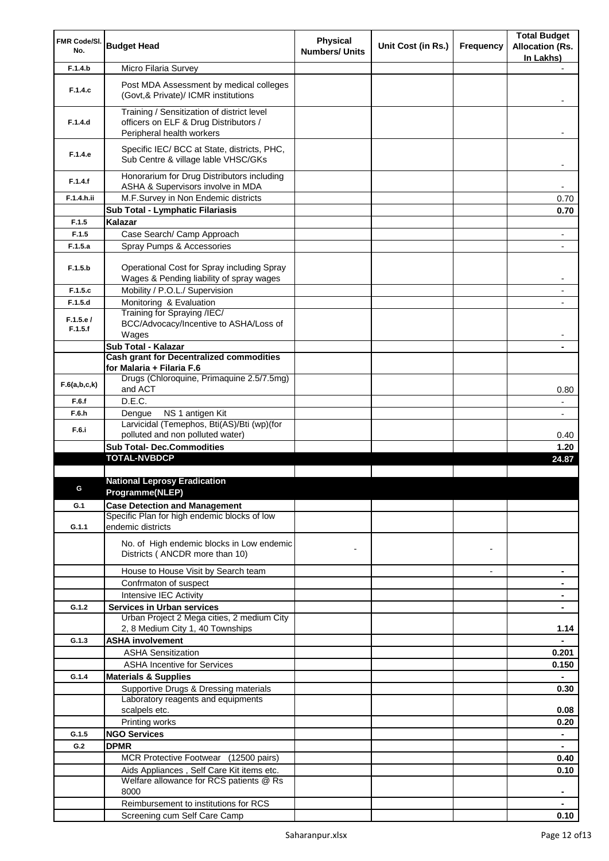| FMR Code/SI.        |                                                                                                                  | <b>Physical</b>       |                    |                          | <b>Total Budget</b>      |
|---------------------|------------------------------------------------------------------------------------------------------------------|-----------------------|--------------------|--------------------------|--------------------------|
| No.                 | <b>Budget Head</b>                                                                                               | <b>Numbers/ Units</b> | Unit Cost (in Rs.) | Frequency                | <b>Allocation (Rs.</b>   |
|                     |                                                                                                                  |                       |                    |                          | In Lakhs)                |
| F.1.4.b             | Micro Filaria Survey                                                                                             |                       |                    |                          |                          |
| F.1.4.c             | Post MDA Assessment by medical colleges<br>(Govt, & Private)/ ICMR institutions                                  |                       |                    |                          |                          |
| F.1.4.d             | Training / Sensitization of district level<br>officers on ELF & Drug Distributors /<br>Peripheral health workers |                       |                    |                          |                          |
| F.1.4.e             | Specific IEC/ BCC at State, districts, PHC,<br>Sub Centre & village lable VHSC/GKs                               |                       |                    |                          |                          |
| F.1.4.f             | Honorarium for Drug Distributors including<br>ASHA & Supervisors involve in MDA                                  |                       |                    |                          | $\blacksquare$           |
| F.1.4.h.ii          | M.F.Survey in Non Endemic districts                                                                              |                       |                    |                          | 0.70                     |
|                     | Sub Total - Lymphatic Filariasis                                                                                 |                       |                    |                          | 0.70                     |
| F.1.5               | Kalazar                                                                                                          |                       |                    |                          |                          |
| F.1.5               | Case Search/ Camp Approach                                                                                       |                       |                    |                          | $\overline{\phantom{a}}$ |
| F.1.5.a             | Spray Pumps & Accessories                                                                                        |                       |                    |                          |                          |
|                     |                                                                                                                  |                       |                    |                          |                          |
| F.1.5.b             | Operational Cost for Spray including Spray<br>Wages & Pending liability of spray wages                           |                       |                    |                          | $\blacksquare$           |
| F.1.5.c             | Mobility / P.O.L./ Supervision                                                                                   |                       |                    |                          | $\overline{\phantom{a}}$ |
| F.1.5.d             | Monitoring & Evaluation                                                                                          |                       |                    |                          |                          |
| F.1.5.e/<br>F.1.5.f | Training for Spraying /IEC/<br>BCC/Advocacy/Incentive to ASHA/Loss of<br>Wages                                   |                       |                    |                          |                          |
|                     | Sub Total - Kalazar                                                                                              |                       |                    |                          |                          |
|                     | <b>Cash grant for Decentralized commodities</b>                                                                  |                       |                    |                          |                          |
|                     | for Malaria + Filaria F.6                                                                                        |                       |                    |                          |                          |
| F.6(a,b,c,k)        | Drugs (Chloroquine, Primaquine 2.5/7.5mg)<br>and ACT                                                             |                       |                    |                          | 0.80                     |
| F.6.f               | D.E.C.                                                                                                           |                       |                    |                          | $\blacksquare$           |
| F.6.h               | Dengue<br>NS 1 antigen Kit                                                                                       |                       |                    |                          | $\blacksquare$           |
| F.6.i               | Larvicidal (Temephos, Bti(AS)/Bti (wp)(for                                                                       |                       |                    |                          |                          |
|                     | polluted and non polluted water)                                                                                 |                       |                    |                          | 0.40                     |
|                     | <b>Sub Total- Dec.Commodities</b>                                                                                |                       |                    |                          | 1.20                     |
|                     | <b>TOTAL-NVBDCP</b>                                                                                              |                       |                    |                          | 24.87                    |
|                     |                                                                                                                  |                       |                    |                          |                          |
|                     | <b>National Leprosy Eradication</b><br>Programme(NLEP)                                                           |                       |                    |                          |                          |
|                     |                                                                                                                  |                       |                    |                          |                          |
| G.1                 | <b>Case Detection and Management</b><br>Specific Plan for high endemic blocks of low                             |                       |                    |                          |                          |
| G.1.1               | endemic districts                                                                                                |                       |                    |                          |                          |
|                     | No. of High endemic blocks in Low endemic<br>Districts (ANCDR more than 10)                                      |                       |                    |                          |                          |
|                     | House to House Visit by Search team                                                                              |                       |                    | $\overline{\phantom{a}}$ | ٠                        |
|                     | Confrmaton of suspect                                                                                            |                       |                    |                          |                          |
|                     | Intensive IEC Activity                                                                                           |                       |                    |                          |                          |
| G.1.2               | <b>Services in Urban services</b>                                                                                |                       |                    |                          |                          |
|                     | Urban Project 2 Mega cities, 2 medium City                                                                       |                       |                    |                          |                          |
|                     | 2, 8 Medium City 1, 40 Townships                                                                                 |                       |                    |                          | 1.14                     |
| G.1.3               | <b>ASHA involvement</b>                                                                                          |                       |                    |                          |                          |
|                     | <b>ASHA Sensitization</b>                                                                                        |                       |                    |                          | 0.201                    |
|                     | <b>ASHA Incentive for Services</b>                                                                               |                       |                    |                          | 0.150                    |
| G.1.4               | <b>Materials &amp; Supplies</b>                                                                                  |                       |                    |                          | $\blacksquare$           |
|                     | Supportive Drugs & Dressing materials                                                                            |                       |                    |                          | 0.30                     |
|                     | Laboratory reagents and equipments                                                                               |                       |                    |                          |                          |
|                     | scalpels etc.                                                                                                    |                       |                    |                          | 0.08                     |
|                     | Printing works                                                                                                   |                       |                    |                          | 0.20                     |
| G.1.5               | <b>NGO Services</b>                                                                                              |                       |                    |                          | $\blacksquare$           |
| G.2                 | <b>DPMR</b>                                                                                                      |                       |                    |                          |                          |
|                     | MCR Protective Footwear (12500 pairs)                                                                            |                       |                    |                          | 0.40                     |
|                     | Aids Appliances, Self Care Kit items etc.<br>Welfare allowance for RCS patients @ Rs                             |                       |                    |                          | 0.10                     |
|                     | 8000                                                                                                             |                       |                    |                          | ٠                        |
|                     | Reimbursement to institutions for RCS                                                                            |                       |                    |                          |                          |
|                     | Screening cum Self Care Camp                                                                                     |                       |                    |                          | 0.10                     |